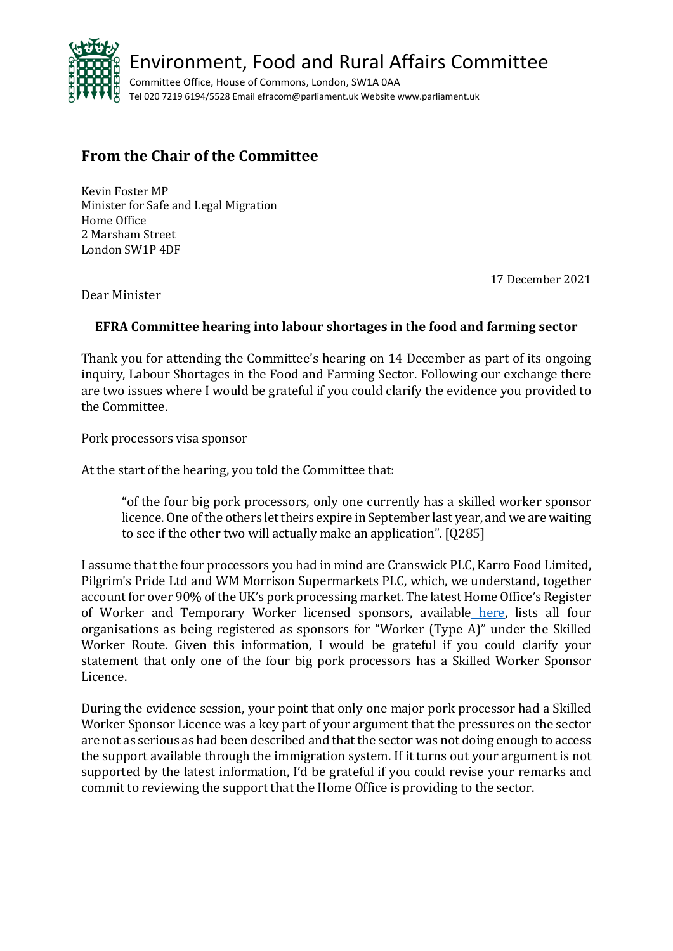

## **From the Chair of the Committee**

Kevin Foster MP Minister for Safe and Legal Migration Home Office 2 Marsham Street London SW1P 4DF

17 December 2021

Dear Minister

## **EFRA Committee hearing into labour shortages in the food and farming sector**

Thank you for attending the Committee's hearing on 14 December as part of its ongoing inquiry, Labour Shortages in the Food and Farming Sector. Following our exchange there are two issues where I would be grateful if you could clarify the evidence you provided to the Committee.

## Pork processors visa sponsor

At the start of the hearing, you told the Committee that:

"of the four big pork processors, only one currently has a skilled worker sponsor licence. One of the others let theirs expire in September last year, and we are waiting to see if the other two will actually make an application". [Q285]

I assume that the four processors you had in mind are Cranswick PLC, Karro Food Limited, Pilgrim's Pride Ltd and WM Morrison Supermarkets PLC, which, we understand, together account for over 90% of the UK's pork processing market. The latest Home Office's Register of Worker and Temporary Worker licensed sponsors, available [here,](https://www.gov.uk/government/uploads/system/uploads/attachment_data/file/1040986/2021-12-15_-_Worker_and_Temporary_Worker.csv/preview) lists all four organisations as being registered as sponsors for "Worker (Type A)" under the Skilled Worker Route. Given this information, I would be grateful if you could clarify your statement that only one of the four big pork processors has a Skilled Worker Sponsor Licence.

During the evidence session, your point that only one major pork processor had a Skilled Worker Sponsor Licence was a key part of your argument that the pressures on the sector are not as serious as had been described and that the sector was not doing enough to access the support available through the immigration system. If it turns out your argument is not supported by the latest information, I'd be grateful if you could revise your remarks and commit to reviewing the support that the Home Office is providing to the sector.